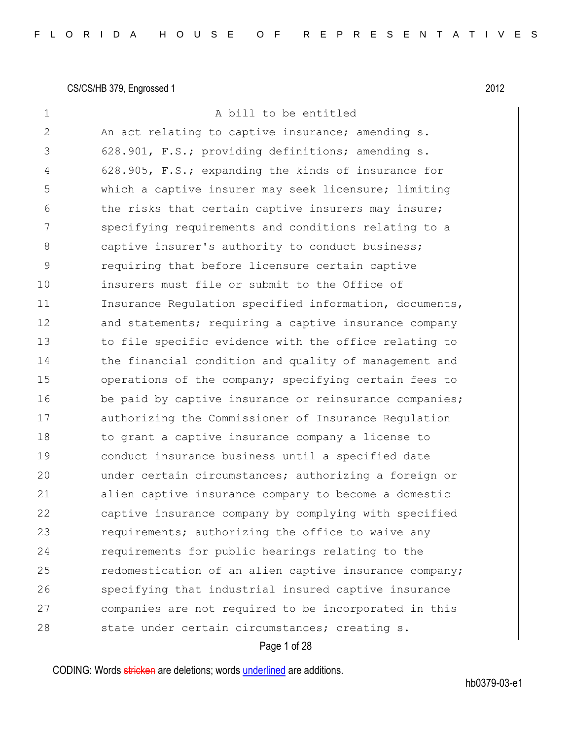| 1              | A bill to be entitled                                  |
|----------------|--------------------------------------------------------|
| $\overline{2}$ | An act relating to captive insurance; amending s.      |
| 3              | 628.901, F.S.; providing definitions; amending s.      |
| 4              | 628.905, F.S.; expanding the kinds of insurance for    |
| 5              | which a captive insurer may seek licensure; limiting   |
| 6              | the risks that certain captive insurers may insure;    |
| 7              | specifying requirements and conditions relating to a   |
| 8              | captive insurer's authority to conduct business;       |
| $\mathsf 9$    | requiring that before licensure certain captive        |
| 10             | insurers must file or submit to the Office of          |
| 11             | Insurance Regulation specified information, documents, |
| 12             | and statements; requiring a captive insurance company  |
| 13             | to file specific evidence with the office relating to  |
| 14             | the financial condition and quality of management and  |
| 15             | operations of the company; specifying certain fees to  |
| 16             | be paid by captive insurance or reinsurance companies; |
| 17             | authorizing the Commissioner of Insurance Regulation   |
| 18             | to grant a captive insurance company a license to      |
| 19             | conduct insurance business until a specified date      |
| 20             | under certain circumstances; authorizing a foreign or  |
| 21             | alien captive insurance company to become a domestic   |
| 22             | captive insurance company by complying with specified  |
| 23             | requirements; authorizing the office to waive any      |
| 24             | requirements for public hearings relating to the       |
| 25             | redomestication of an alien captive insurance company; |
| 26             | specifying that industrial insured captive insurance   |
| 27             | companies are not required to be incorporated in this  |
| 28             | state under certain circumstances; creating s.         |
|                |                                                        |

### Page 1 of 28

CODING: Words stricken are deletions; words underlined are additions.

hb0379-03-e1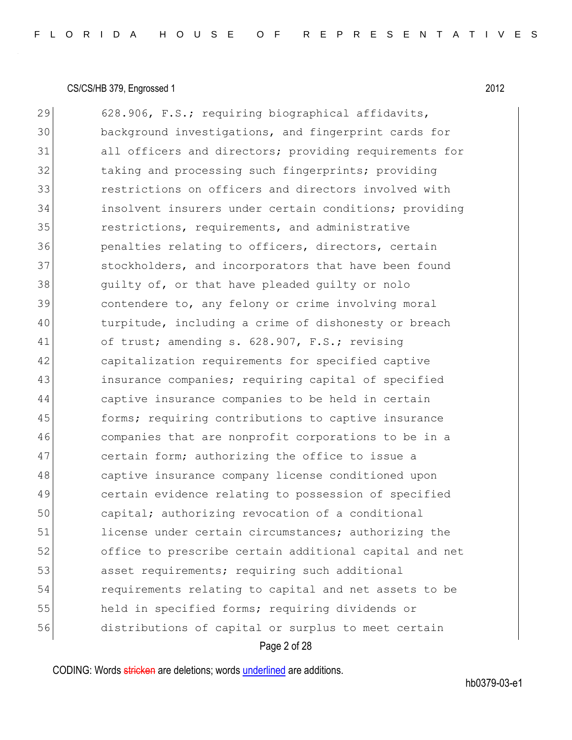| 29 | 628.906, F.S.; requiring biographical affidavits,      |
|----|--------------------------------------------------------|
| 30 | background investigations, and fingerprint cards for   |
| 31 | all officers and directors; providing requirements for |
| 32 | taking and processing such fingerprints; providing     |
| 33 | restrictions on officers and directors involved with   |
| 34 | insolvent insurers under certain conditions; providing |
| 35 | restrictions, requirements, and administrative         |
| 36 | penalties relating to officers, directors, certain     |
| 37 | stockholders, and incorporators that have been found   |
| 38 | quilty of, or that have pleaded quilty or nolo         |
| 39 | contendere to, any felony or crime involving moral     |
| 40 | turpitude, including a crime of dishonesty or breach   |
| 41 | of trust; amending s. 628.907, F.S.; revising          |
| 42 | capitalization requirements for specified captive      |
| 43 | insurance companies; requiring capital of specified    |
| 44 | captive insurance companies to be held in certain      |
| 45 | forms; requiring contributions to captive insurance    |
| 46 | companies that are nonprofit corporations to be in a   |
| 47 | certain form; authorizing the office to issue a        |
| 48 | captive insurance company license conditioned upon     |
| 49 | certain evidence relating to possession of specified   |
| 50 | capital; authorizing revocation of a conditional       |
| 51 | license under certain circumstances; authorizing the   |
| 52 | office to prescribe certain additional capital and net |
| 53 | asset requirements; requiring such additional          |
| 54 | requirements relating to capital and net assets to be  |
| 55 | held in specified forms; requiring dividends or        |
| 56 | distributions of capital or surplus to meet certain    |
|    | Page 2 of 28                                           |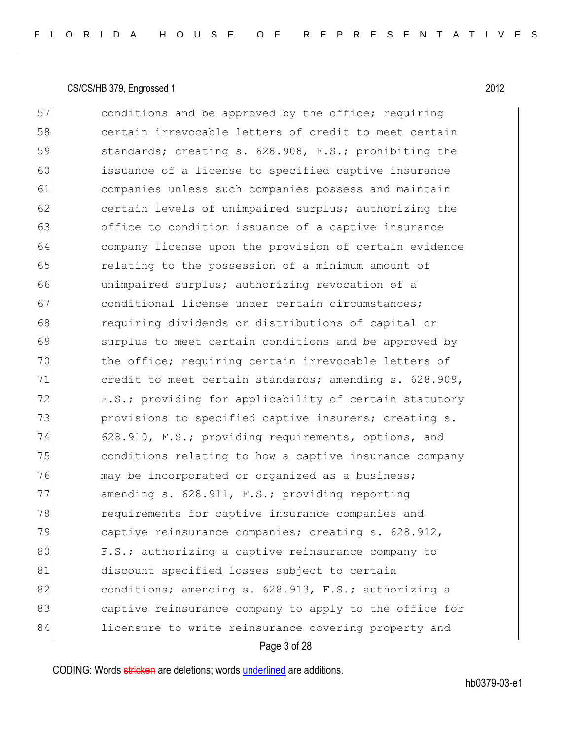Page 3 of 28 57 conditions and be approved by the office; requiring 58 certain irrevocable letters of credit to meet certain 59 59 standards; creating s. 628.908, F.S.; prohibiting the 60 issuance of a license to specified captive insurance 61 companies unless such companies possess and maintain 62 certain levels of unimpaired surplus; authorizing the 63 office to condition issuance of a captive insurance 64 company license upon the provision of certain evidence 65 **65** relating to the possession of a minimum amount of 66 unimpaired surplus; authorizing revocation of a 67 conditional license under certain circumstances; 68 requiring dividends or distributions of capital or 69 surplus to meet certain conditions and be approved by 70 the office; requiring certain irrevocable letters of 71 credit to meet certain standards; amending s. 628.909, 72 F.S.; providing for applicability of certain statutory 73 provisions to specified captive insurers; creating s. 74 628.910, F.S.; providing requirements, options, and 75 conditions relating to how a captive insurance company 76 may be incorporated or organized as a business; 77 amending s. 628.911, F.S.; providing reporting 78 **requirements for captive insurance companies and** 79 captive reinsurance companies; creating s. 628.912, 80 F.S.; authorizing a captive reinsurance company to 81 discount specified losses subject to certain 82 conditions; amending s. 628.913, F.S.; authorizing a 83 captive reinsurance company to apply to the office for 84 licensure to write reinsurance covering property and

CODING: Words stricken are deletions; words underlined are additions.

hb0379-03-e1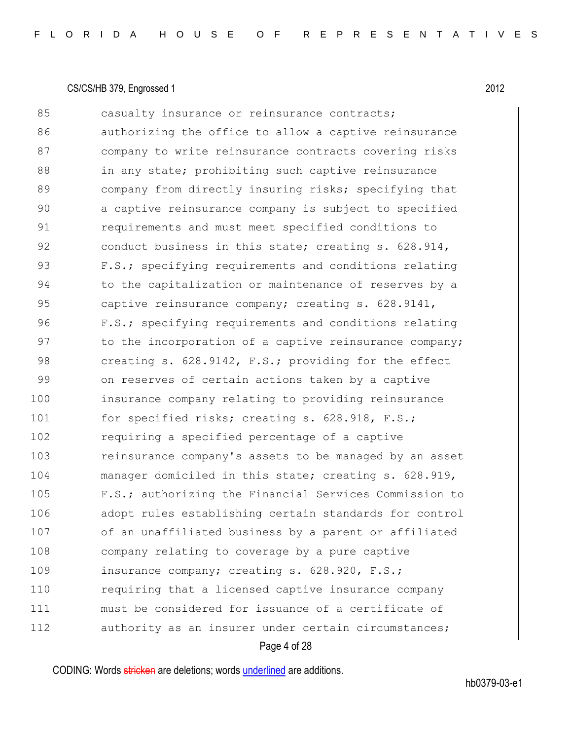| 85  | casualty insurance or reinsurance contracts;           |
|-----|--------------------------------------------------------|
| 86  | authorizing the office to allow a captive reinsurance  |
| 87  | company to write reinsurance contracts covering risks  |
| 88  | in any state; prohibiting such captive reinsurance     |
| 89  | company from directly insuring risks; specifying that  |
| 90  | a captive reinsurance company is subject to specified  |
| 91  | requirements and must meet specified conditions to     |
| 92  | conduct business in this state; creating s. 628.914,   |
| 93  | F.S.; specifying requirements and conditions relating  |
| 94  | to the capitalization or maintenance of reserves by a  |
| 95  | captive reinsurance company; creating s. 628.9141,     |
| 96  | F.S.; specifying requirements and conditions relating  |
| 97  | to the incorporation of a captive reinsurance company; |
| 98  | creating s. 628.9142, F.S.; providing for the effect   |
| 99  | on reserves of certain actions taken by a captive      |
| 100 | insurance company relating to providing reinsurance    |
| 101 | for specified risks; creating s. 628.918, F.S.;        |
| 102 | requiring a specified percentage of a captive          |
| 103 | reinsurance company's assets to be managed by an asset |
| 104 | manager domiciled in this state; creating s. 628.919,  |
| 105 | F.S.; authorizing the Financial Services Commission to |
| 106 | adopt rules establishing certain standards for control |
| 107 | of an unaffiliated business by a parent or affiliated  |
| 108 | company relating to coverage by a pure captive         |
| 109 | insurance company; creating s. 628.920, F.S.;          |
| 110 | requiring that a licensed captive insurance company    |
| 111 | must be considered for issuance of a certificate of    |
| 112 | authority as an insurer under certain circumstances;   |
|     |                                                        |

#### Page 4 of 28

CODING: Words stricken are deletions; words underlined are additions.

hb0379-03-e1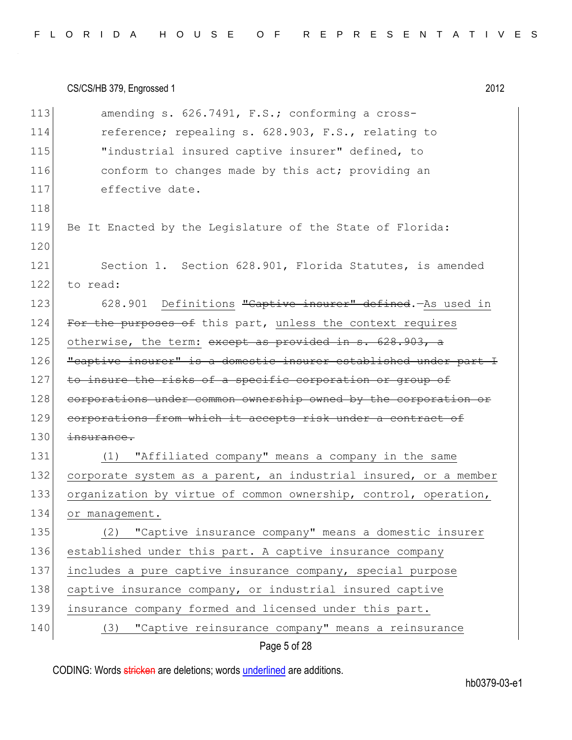| 113 | amending s. 626.7491, F.S.; conforming a cross-                  |
|-----|------------------------------------------------------------------|
| 114 | reference; repealing s. 628.903, F.S., relating to               |
| 115 | "industrial insured captive insurer" defined, to                 |
| 116 | conform to changes made by this act; providing an                |
| 117 | effective date.                                                  |
| 118 |                                                                  |
| 119 | Be It Enacted by the Legislature of the State of Florida:        |
| 120 |                                                                  |
| 121 | Section 1. Section 628.901, Florida Statutes, is amended         |
| 122 | to read:                                                         |
| 123 | 628.901 Definitions "Captive insurer" defined. As used in        |
| 124 | For the purposes of this part, unless the context requires       |
| 125 | otherwise, the term: except as provided in s. 628.903, a         |
| 126 | "captive insurer" is a domestic insurer established under part I |
| 127 | to insure the risks of a specific corporation or group of        |
| 128 | corporations under common ownership owned by the corporation or  |
| 129 | corporations from which it accepts risk under a contract of      |
| 130 | insurance.                                                       |
| 131 | "Affiliated company" means a company in the same<br>(1)          |
| 132 | corporate system as a parent, an industrial insured, or a member |
| 133 | organization by virtue of common ownership, control, operation,  |
| 134 | or management.                                                   |
| 135 | "Captive insurance company" means a domestic insurer<br>(2)      |
| 136 | established under this part. A captive insurance company         |
| 137 | includes a pure captive insurance company, special purpose       |
| 138 | captive insurance company, or industrial insured captive         |
| 139 | insurance company formed and licensed under this part.           |
| 140 | "Captive reinsurance company" means a reinsurance<br>(3)         |
|     |                                                                  |

Page 5 of 28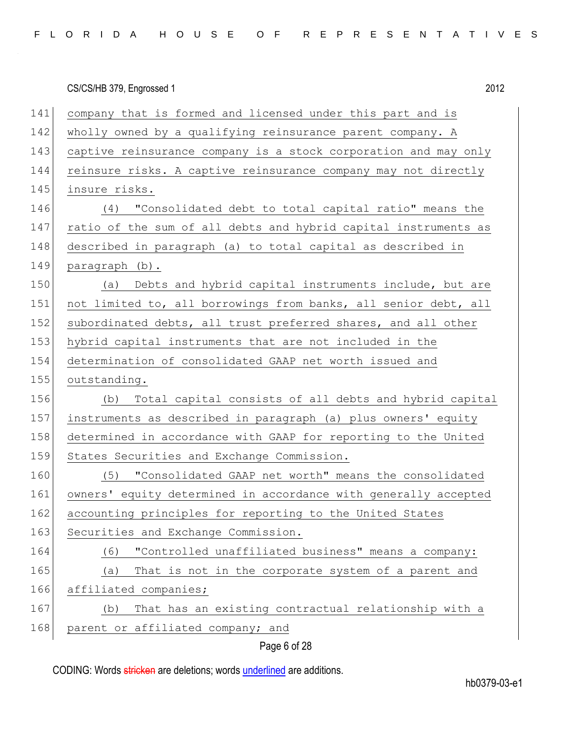|     | 2012<br>CS/CS/HB 379, Engrossed 1                               |
|-----|-----------------------------------------------------------------|
| 141 | company that is formed and licensed under this part and is      |
| 142 | wholly owned by a qualifying reinsurance parent company. A      |
| 143 | captive reinsurance company is a stock corporation and may only |
| 144 | reinsure risks. A captive reinsurance company may not directly  |
| 145 | insure risks.                                                   |
| 146 | "Consolidated debt to total capital ratio" means the<br>(4)     |
| 147 | ratio of the sum of all debts and hybrid capital instruments as |
| 148 | described in paragraph (a) to total capital as described in     |
| 149 | paragraph (b).                                                  |
| 150 | (a) Debts and hybrid capital instruments include, but are       |
| 151 | not limited to, all borrowings from banks, all senior debt, all |
| 152 | subordinated debts, all trust preferred shares, and all other   |
| 153 | hybrid capital instruments that are not included in the         |
| 154 | determination of consolidated GAAP net worth issued and         |
| 155 | outstanding.                                                    |
| 156 | (b) Total capital consists of all debts and hybrid capital      |
| 157 | instruments as described in paragraph (a) plus owners' equity   |
| 158 | determined in accordance with GAAP for reporting to the United  |
| 159 | States Securities and Exchange Commission.                      |
| 160 | (5) "Consolidated GAAP net worth" means the consolidated        |
| 161 | owners' equity determined in accordance with generally accepted |
| 162 | accounting principles for reporting to the United States        |
| 163 | Securities and Exchange Commission.                             |
| 164 | "Controlled unaffiliated business" means a company:<br>(6)      |
| 165 | (a)<br>That is not in the corporate system of a parent and      |
| 166 | affiliated companies;                                           |
| 167 | That has an existing contractual relationship with a<br>(b)     |
| 168 | parent or affiliated company; and                               |
|     | Page 6 of 28                                                    |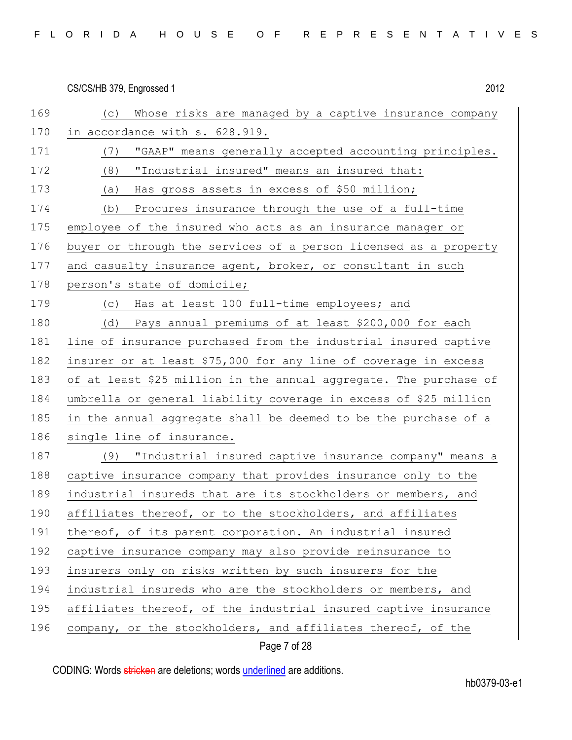| 169 | Whose risks are managed by a captive insurance company<br>(C)     |
|-----|-------------------------------------------------------------------|
| 170 | in accordance with s. 628.919.                                    |
| 171 | "GAAP" means generally accepted accounting principles.<br>(7)     |
| 172 | "Industrial insured" means an insured that:<br>(8)                |
| 173 | Has gross assets in excess of \$50 million;<br>(a)                |
| 174 | Procures insurance through the use of a full-time<br>(b)          |
| 175 | employee of the insured who acts as an insurance manager or       |
| 176 | buyer or through the services of a person licensed as a property  |
| 177 | and casualty insurance agent, broker, or consultant in such       |
| 178 | person's state of domicile;                                       |
| 179 | Has at least 100 full-time employees; and<br>(C)                  |
| 180 | (d) Pays annual premiums of at least \$200,000 for each           |
| 181 | line of insurance purchased from the industrial insured captive   |
| 182 | insurer or at least \$75,000 for any line of coverage in excess   |
| 183 | of at least \$25 million in the annual aggregate. The purchase of |
| 184 | umbrella or general liability coverage in excess of \$25 million  |
| 185 | in the annual aggregate shall be deemed to be the purchase of a   |
| 186 | single line of insurance.                                         |
| 187 | "Industrial insured captive insurance company" means a<br>(9)     |
| 188 | captive insurance company that provides insurance only to the     |
| 189 | industrial insureds that are its stockholders or members, and     |
| 190 | affiliates thereof, or to the stockholders, and affiliates        |
| 191 | thereof, of its parent corporation. An industrial insured         |
| 192 | captive insurance company may also provide reinsurance to         |
| 193 | insurers only on risks written by such insurers for the           |
| 194 | industrial insureds who are the stockholders or members, and      |
| 195 | affiliates thereof, of the industrial insured captive insurance   |
|     |                                                                   |

Page 7 of 28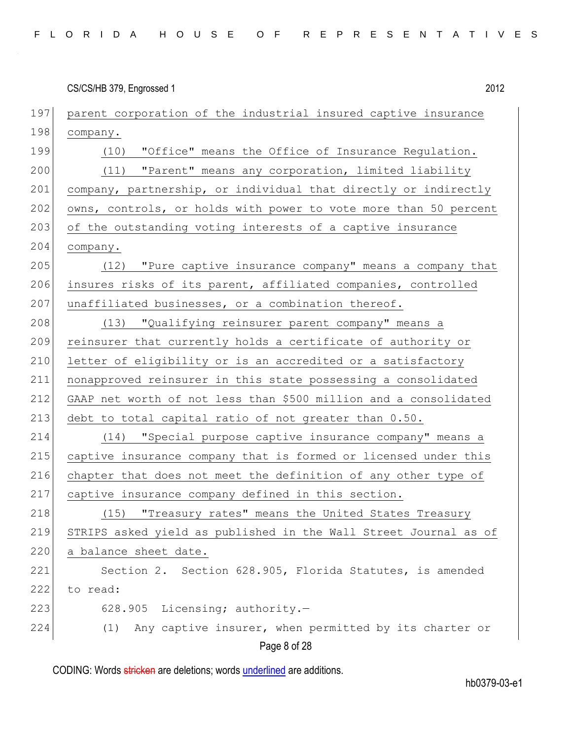| CS/CS/HB 379, Engrossed 1 | 2012 |
|---------------------------|------|
|                           |      |

| 197 | parent corporation of the industrial insured captive insurance   |
|-----|------------------------------------------------------------------|
| 198 | company.                                                         |
| 199 | (10) "Office" means the Office of Insurance Regulation.          |
| 200 | (11) "Parent" means any corporation, limited liability           |
| 201 | company, partnership, or individual that directly or indirectly  |
| 202 | owns, controls, or holds with power to vote more than 50 percent |
| 203 | of the outstanding voting interests of a captive insurance       |
| 204 | company.                                                         |
| 205 | (12) "Pure captive insurance company" means a company that       |
| 206 | insures risks of its parent, affiliated companies, controlled    |
| 207 | unaffiliated businesses, or a combination thereof.               |
| 208 | (13) "Qualifying reinsurer parent company" means a               |
| 209 | reinsurer that currently holds a certificate of authority or     |
| 210 | letter of eligibility or is an accredited or a satisfactory      |
| 211 | nonapproved reinsurer in this state possessing a consolidated    |
| 212 | GAAP net worth of not less than \$500 million and a consolidated |
| 213 | debt to total capital ratio of not greater than 0.50.            |
| 214 | (14) "Special purpose captive insurance company" means a         |
| 215 | captive insurance company that is formed or licensed under this  |
| 216 | chapter that does not meet the definition of any other type of   |
| 217 | captive insurance company defined in this section.               |
| 218 | (15) "Treasury rates" means the United States Treasury           |
| 219 | STRIPS asked yield as published in the Wall Street Journal as of |
| 220 | a balance sheet date.                                            |
| 221 | Section 2. Section 628.905, Florida Statutes, is amended         |
| 222 | to read:                                                         |
| 223 | 628.905 Licensing; authority.-                                   |
| 224 | Any captive insurer, when permitted by its charter or<br>(1)     |
|     | Page 8 of 28                                                     |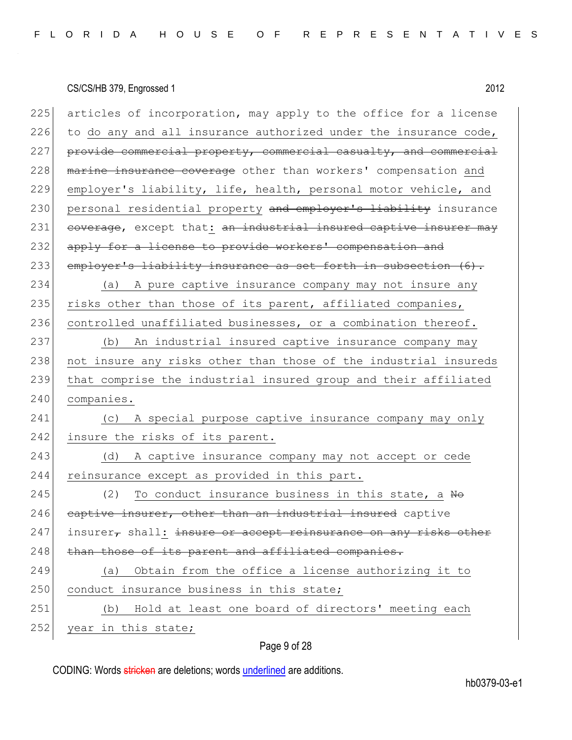| 225 | articles of incorporation, may apply to the office for a license           |
|-----|----------------------------------------------------------------------------|
| 226 | to do any and all insurance authorized under the insurance code,           |
| 227 | provide commercial property, commercial casualty, and commercial           |
| 228 | marine insurance coverage other than workers' compensation and             |
| 229 | employer's liability, life, health, personal motor vehicle, and            |
| 230 | personal residential property and employer's liability insurance           |
| 231 | eoverage, except that: an industrial insured captive insurer may           |
| 232 | apply for a license to provide workers' compensation and                   |
| 233 | employer's liability insurance as set forth in subsection (6).             |
| 234 | A pure captive insurance company may not insure any<br>(a)                 |
| 235 | risks other than those of its parent, affiliated companies,                |
| 236 | controlled unaffiliated businesses, or a combination thereof.              |
| 237 | (b) An industrial insured captive insurance company may                    |
| 238 | not insure any risks other than those of the industrial insureds           |
|     |                                                                            |
| 239 | that comprise the industrial insured group and their affiliated            |
| 240 | companies.                                                                 |
| 241 | A special purpose captive insurance company may only<br>(C)                |
| 242 | insure the risks of its parent.                                            |
| 243 | A captive insurance company may not accept or cede<br>(d)                  |
| 244 | reinsurance except as provided in this part.                               |
| 245 | (2)<br>To conduct insurance business in this state, a No                   |
| 246 | captive insurer, other than an industrial insured captive                  |
| 247 | insurer, shall: <del>insure or accept reinsurance on any risks other</del> |
| 248 | than those of its parent and affiliated companies.                         |
| 249 | Obtain from the office a license authorizing it to<br>(a)                  |
| 250 | conduct insurance business in this state;                                  |
| 251 | Hold at least one board of directors' meeting each<br>(b)                  |

### Page 9 of 28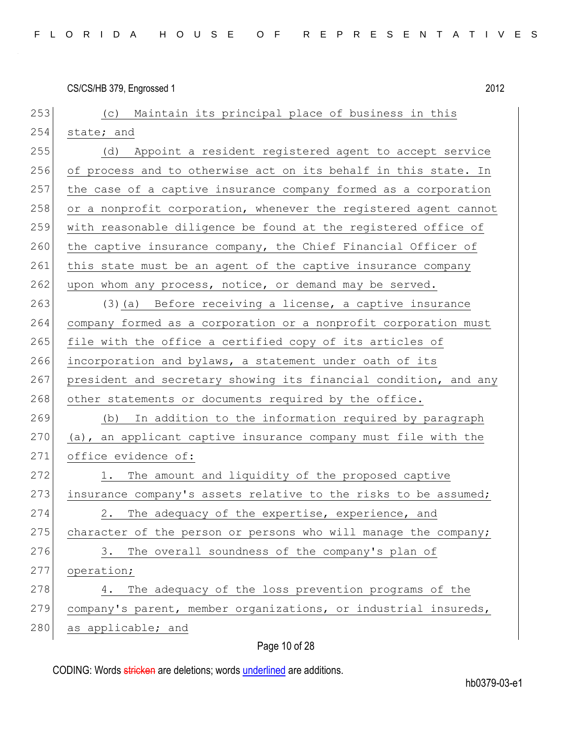| 253 | (c) Maintain its principal place of business in this             |
|-----|------------------------------------------------------------------|
| 254 | state; and                                                       |
| 255 | Appoint a resident registered agent to accept service<br>(d)     |
| 256 | of process and to otherwise act on its behalf in this state. In  |
| 257 | the case of a captive insurance company formed as a corporation  |
| 258 | or a nonprofit corporation, whenever the registered agent cannot |
| 259 | with reasonable diligence be found at the registered office of   |
| 260 | the captive insurance company, the Chief Financial Officer of    |
| 261 | this state must be an agent of the captive insurance company     |
| 262 | upon whom any process, notice, or demand may be served.          |
| 263 | (3) (a) Before receiving a license, a captive insurance          |
| 264 | company formed as a corporation or a nonprofit corporation must  |
| 265 | file with the office a certified copy of its articles of         |
| 266 | incorporation and bylaws, a statement under oath of its          |
| 267 | president and secretary showing its financial condition, and any |
| 268 | other statements or documents required by the office.            |
| 269 | In addition to the information required by paragraph<br>(b)      |
| 270 | (a), an applicant captive insurance company must file with the   |
| 271 | office evidence of:                                              |
| 272 | The amount and liquidity of the proposed captive<br>1.           |
| 273 | insurance company's assets relative to the risks to be assumed;  |
| 274 | The adequacy of the expertise, experience, and<br>2.             |
| 275 | character of the person or persons who will manage the company;  |
| 276 | The overall soundness of the company's plan of<br>3.             |
| 277 | operation;                                                       |
| 278 | The adequacy of the loss prevention programs of the<br>4.        |
| 279 | company's parent, member organizations, or industrial insureds,  |
| 280 | as applicable; and                                               |

# Page 10 of 28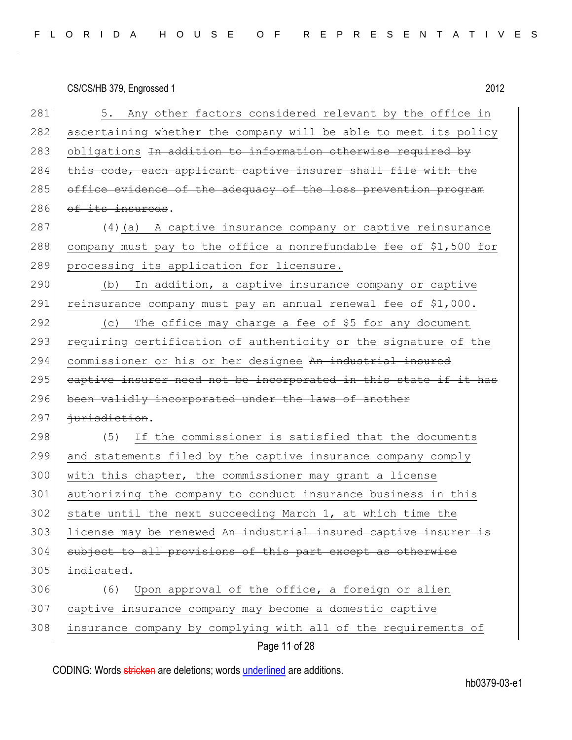# CS/CS/HB 379, Engrossed 1 2012 281 5. Any other factors considered relevant by the office in 282 ascertaining whether the company will be able to meet its policy 283 obligations In addition to information otherwise required by 284 this code, each applicant captive insurer shall file with the 285 office evidence of the adequacy of the loss prevention program 286 of its insureds. 287 (4) (a) A captive insurance company or captive reinsurance 288 company must pay to the office a nonrefundable fee of \$1,500 for 289 processing its application for licensure.  $290$  (b) In addition, a captive insurance company or captive 291 reinsurance company must pay an annual renewal fee of \$1,000. 292  $\vert$  (c) The office may charge a fee of \$5 for any document 293 requiring certification of authenticity or the signature of the 294 commissioner or his or her designee An industrial insured 295 captive insurer need not be incorporated in this state if it has 296 been validly incorporated under the laws of another 297 <del>jurisdiction</del>. 298 (5) If the commissioner is satisfied that the documents 299 and statements filed by the captive insurance company comply 300 with this chapter, the commissioner may grant a license 301 authorizing the company to conduct insurance business in this 302 state until the next succeeding March 1, at which time the 303 license may be renewed An industrial insured captive insurer is 304 subject to all provisions of this part except as otherwise  $305$  indicated.

306 (6) Upon approval of the office, a foreign or alien 307 captive insurance company may become a domestic captive 308 insurance company by complying with all of the requirements of

Page 11 of 28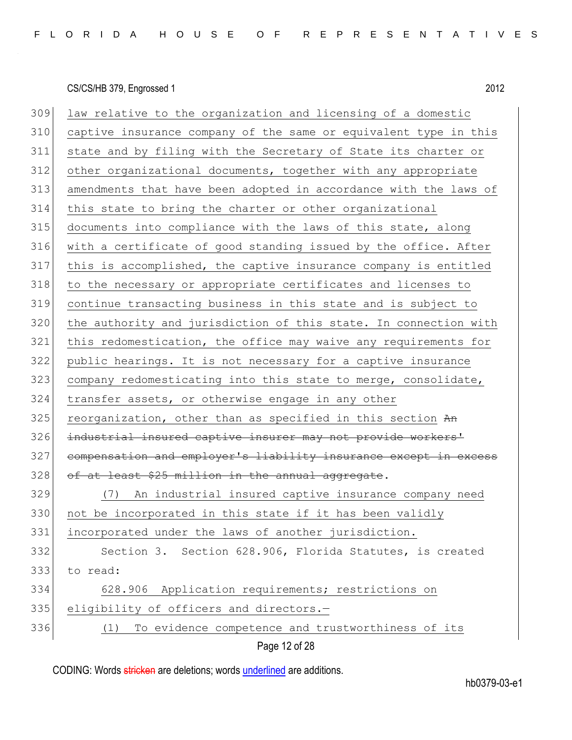Page 12 of 28 309 law relative to the organization and licensing of a domestic captive insurance company of the same or equivalent type in this state and by filing with the Secretary of State its charter or other organizational documents, together with any appropriate amendments that have been adopted in accordance with the laws of this state to bring the charter or other organizational documents into compliance with the laws of this state, along with a certificate of good standing issued by the office. After this is accomplished, the captive insurance company is entitled to the necessary or appropriate certificates and licenses to continue transacting business in this state and is subject to 320 the authority and jurisdiction of this state. In connection with this redomestication, the office may waive any requirements for public hearings. It is not necessary for a captive insurance 323 company redomesticating into this state to merge, consolidate, transfer assets, or otherwise engage in any other reorganization, other than as specified in this section  $A_n$ 326 industrial insured captive insurer may not provide workers' 327 compensation and employer's liability insurance except in excess of at least \$25 million in the annual aggregate. (7) An industrial insured captive insurance company need 330 not be incorporated in this state if it has been validly incorporated under the laws of another jurisdiction. Section 3. Section 628.906, Florida Statutes, is created to read: 628.906 Application requirements; restrictions on 335 eligibility of officers and directors.-(1) To evidence competence and trustworthiness of its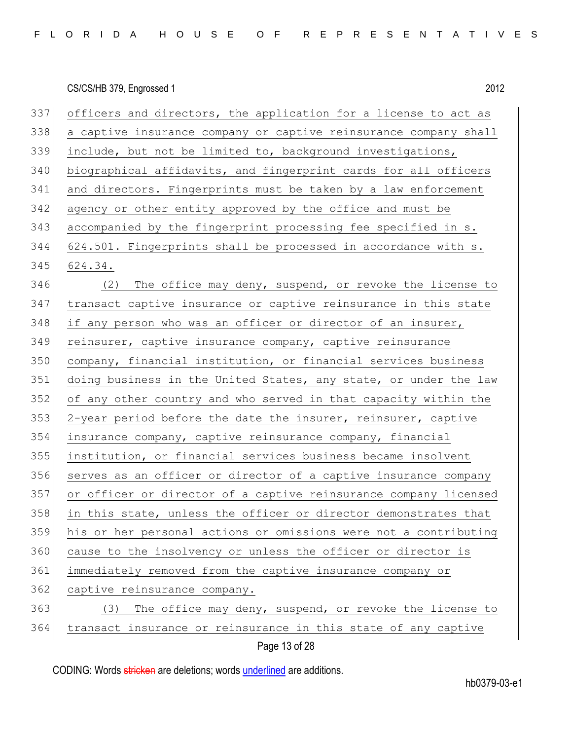| 337 | officers and directors, the application for a license to act as  |
|-----|------------------------------------------------------------------|
| 338 | a captive insurance company or captive reinsurance company shall |
| 339 | include, but not be limited to, background investigations,       |
| 340 | biographical affidavits, and fingerprint cards for all officers  |
| 341 | and directors. Fingerprints must be taken by a law enforcement   |
| 342 | agency or other entity approved by the office and must be        |
| 343 | accompanied by the fingerprint processing fee specified in s.    |
| 344 | 624.501. Fingerprints shall be processed in accordance with s.   |
| 345 | 624.34.                                                          |
| 346 | The office may deny, suspend, or revoke the license to<br>(2)    |
| 347 | transact captive insurance or captive reinsurance in this state  |
| 348 | if any person who was an officer or director of an insurer,      |
| 349 | reinsurer, captive insurance company, captive reinsurance        |
| 350 | company, financial institution, or financial services business   |
|     |                                                                  |
| 351 | doing business in the United States, any state, or under the law |
| 352 | of any other country and who served in that capacity within the  |
| 353 | 2-year period before the date the insurer, reinsurer, captive    |
| 354 | insurance company, captive reinsurance company, financial        |
| 355 | institution, or financial services business became insolvent     |
| 356 | serves as an officer or director of a captive insurance company  |
| 357 | or officer or director of a captive reinsurance company licensed |
| 358 | in this state, unless the officer or director demonstrates that  |
| 359 | his or her personal actions or omissions were not a contributing |
| 360 | cause to the insolvency or unless the officer or director is     |
| 361 | immediately removed from the captive insurance company or        |
| 362 | captive reinsurance company.                                     |
| 363 | (3) The office may deny, suspend, or revoke the license to       |

Page 13 of 28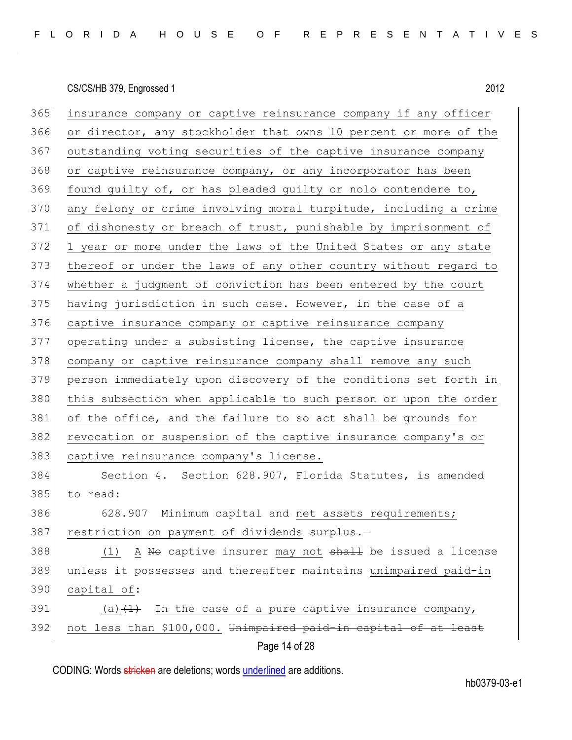Page 14 of 28 365 insurance company or captive reinsurance company if any officer 366 or director, any stockholder that owns 10 percent or more of the 367 outstanding voting securities of the captive insurance company 368 or captive reinsurance company, or any incorporator has been 369 found guilty of, or has pleaded guilty or nolo contendere to, 370 any felony or crime involving moral turpitude, including a crime 371 of dishonesty or breach of trust, punishable by imprisonment of 372 1 year or more under the laws of the United States or any state 373 thereof or under the laws of any other country without regard to 374 whether a judgment of conviction has been entered by the court 375 having jurisdiction in such case. However, in the case of a 376 captive insurance company or captive reinsurance company 377 operating under a subsisting license, the captive insurance 378 company or captive reinsurance company shall remove any such 379 person immediately upon discovery of the conditions set forth in 380 this subsection when applicable to such person or upon the order 381 of the office, and the failure to so act shall be grounds for 382 revocation or suspension of the captive insurance company's or 383 captive reinsurance company's license. 384 Section 4. Section 628.907, Florida Statutes, is amended 385 to read: 386 628.907 Minimum capital and net assets requirements; 387 restriction on payment of dividends surplus.-388 (1) A No captive insurer may not shall be issued a license 389 unless it possesses and thereafter maintains unimpaired paid-in 390 capital of: 391 (a) $(1)$  In the case of a pure captive insurance company, 392 not less than \$100,000. Unimpaired paid-in capital of at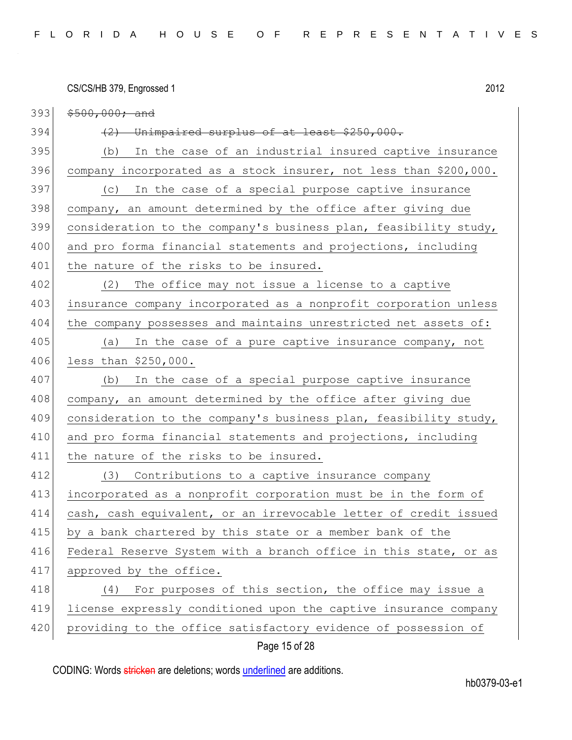CS/CS/HB 379, Engrossed 1 2012 Page 15 of 28  $393$   $$500,000;$  and  $394$  (2) Unimpaired surplus of at least \$250,000. 395 (b) In the case of an industrial insured captive insurance 396 company incorporated as a stock insurer, not less than \$200,000. 397 (c) In the case of a special purpose captive insurance 398 company, an amount determined by the office after giving due 399 consideration to the company's business plan, feasibility study, 400 and pro forma financial statements and projections, including 401 the nature of the risks to be insured. 402 (2) The office may not issue a license to a captive 403 insurance company incorporated as a nonprofit corporation unless 404 the company possesses and maintains unrestricted net assets of: 405 (a) In the case of a pure captive insurance company, not 406 less than \$250,000. 407 (b) In the case of a special purpose captive insurance 408 company, an amount determined by the office after giving due 409 consideration to the company's business plan, feasibility study, 410 and pro forma financial statements and projections, including 411 the nature of the risks to be insured. 412 (3) Contributions to a captive insurance company 413 incorporated as a nonprofit corporation must be in the form of 414 cash, cash equivalent, or an irrevocable letter of credit issued 415 by a bank chartered by this state or a member bank of the 416 Federal Reserve System with a branch office in this state, or as 417 approved by the office. 418 (4) For purposes of this section, the office may issue a 419 license expressly conditioned upon the captive insurance company 420 providing to the office satisfactory evidence of possession of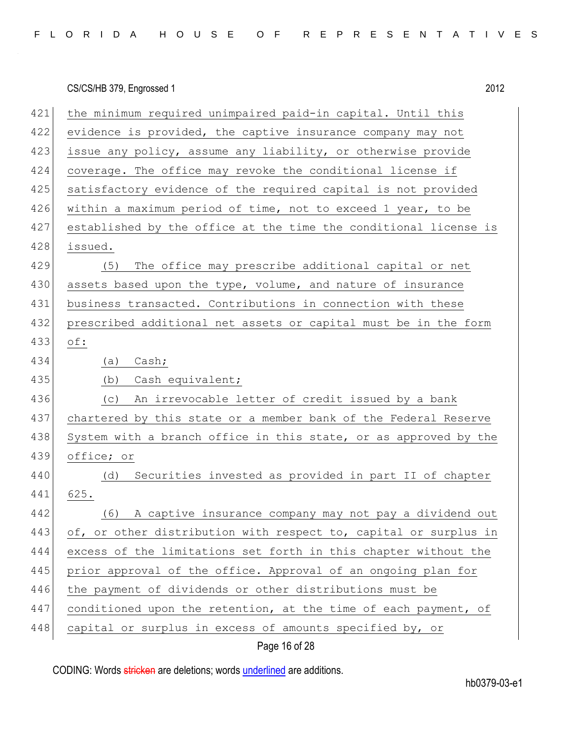|  |  |  |  |  |  |  |  |  |  |  |  |  | FLORIDA HOUSE OF REPRESENTATIVES |  |  |  |  |  |  |  |  |  |  |  |  |  |  |  |  |
|--|--|--|--|--|--|--|--|--|--|--|--|--|----------------------------------|--|--|--|--|--|--|--|--|--|--|--|--|--|--|--|--|
|--|--|--|--|--|--|--|--|--|--|--|--|--|----------------------------------|--|--|--|--|--|--|--|--|--|--|--|--|--|--|--|--|

| 421 | the minimum required unimpaired paid-in capital. Until this      |
|-----|------------------------------------------------------------------|
| 422 | evidence is provided, the captive insurance company may not      |
| 423 | issue any policy, assume any liability, or otherwise provide     |
| 424 | coverage. The office may revoke the conditional license if       |
| 425 | satisfactory evidence of the required capital is not provided    |
| 426 | within a maximum period of time, not to exceed 1 year, to be     |
| 427 | established by the office at the time the conditional license is |
| 428 | issued.                                                          |
| 429 | The office may prescribe additional capital or net<br>(5)        |
| 430 | assets based upon the type, volume, and nature of insurance      |
| 431 | business transacted. Contributions in connection with these      |
| 432 | prescribed additional net assets or capital must be in the form  |
| 433 | $\circ f$ :                                                      |
| 434 | Cash;<br>(a)                                                     |
| 435 | (b)<br>Cash equivalent;                                          |
| 436 | An irrevocable letter of credit issued by a bank<br>(C)          |
| 437 | chartered by this state or a member bank of the Federal Reserve  |
| 438 | System with a branch office in this state, or as approved by the |
| 439 | office; or                                                       |
| 440 | Securities invested as provided in part II of chapter<br>(d)     |
| 441 | 625.                                                             |
| 442 | (6)<br>A captive insurance company may not pay a dividend out    |
| 443 | of, or other distribution with respect to, capital or surplus in |
| 444 | excess of the limitations set forth in this chapter without the  |
| 445 | prior approval of the office. Approval of an ongoing plan for    |
| 446 | the payment of dividends or other distributions must be          |
| 447 | conditioned upon the retention, at the time of each payment, of  |
| 448 | capital or surplus in excess of amounts specified by, or         |
|     |                                                                  |

Page 16 of 28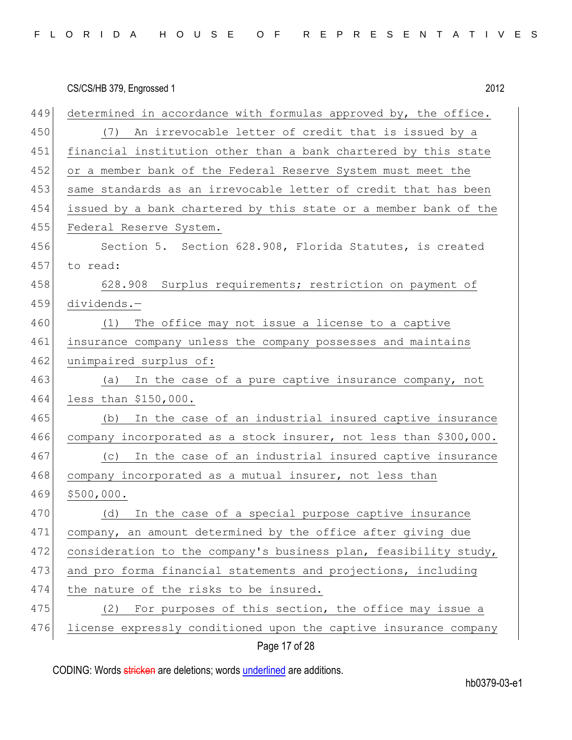|     | 2012<br>CS/CS/HB 379, Engrossed 1                                 |
|-----|-------------------------------------------------------------------|
| 449 | determined in accordance with formulas approved by, the office.   |
| 450 | (7) An irrevocable letter of credit that is issued by a           |
| 451 | financial institution other than a bank chartered by this state   |
| 452 | or a member bank of the Federal Reserve System must meet the      |
| 453 | same standards as an irrevocable letter of credit that has been   |
| 454 | issued by a bank chartered by this state or a member bank of the  |
| 455 | Federal Reserve System.                                           |
| 456 | Section 5. Section 628.908, Florida Statutes, is created          |
| 457 | to read:                                                          |
| 458 | 628.908 Surplus requirements; restriction on payment of           |
| 459 | dividends.-                                                       |
| 460 | The office may not issue a license to a captive<br>(1)            |
| 461 | insurance company unless the company possesses and maintains      |
| 462 | unimpaired surplus of:                                            |
| 463 | In the case of a pure captive insurance company, not<br>(a)       |
| 464 | less than \$150,000.                                              |
| 465 | (b) In the case of an industrial insured captive insurance        |
| 466 | company incorporated as a stock insurer, not less than \$300,000. |
| 467 | In the case of an industrial insured captive insurance<br>(C)     |
| 468 | company incorporated as a mutual insurer, not less than           |
| 469 | \$500,000.                                                        |
| 470 | In the case of a special purpose captive insurance<br>(d)         |
| 471 | company, an amount determined by the office after giving due      |
| 472 | consideration to the company's business plan, feasibility study,  |
| 473 | and pro forma financial statements and projections, including     |
| 474 | the nature of the risks to be insured.                            |
| 475 | (2) For purposes of this section, the office may issue a          |
| 476 | license expressly conditioned upon the captive insurance company  |
|     | 47.00                                                             |

Page 17 of 28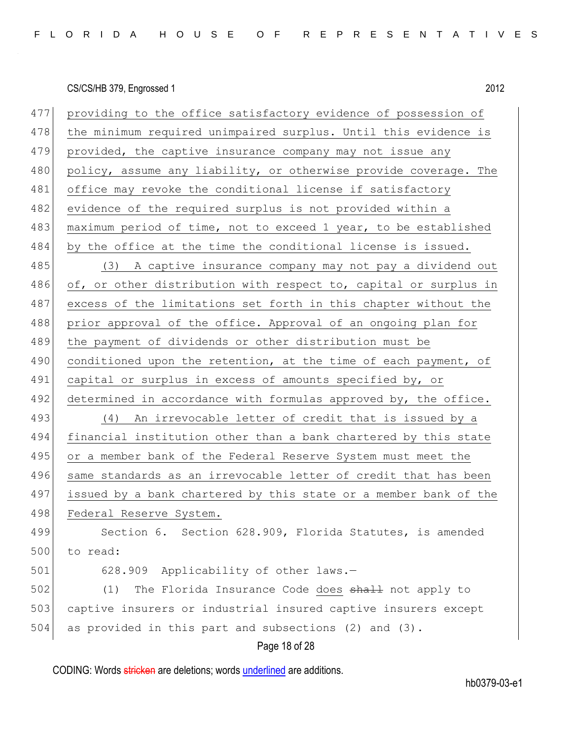| 477 | providing to the office satisfactory evidence of possession of   |
|-----|------------------------------------------------------------------|
| 478 | the minimum required unimpaired surplus. Until this evidence is  |
| 479 | provided, the captive insurance company may not issue any        |
| 480 | policy, assume any liability, or otherwise provide coverage. The |
| 481 | office may revoke the conditional license if satisfactory        |
| 482 | evidence of the required surplus is not provided within a        |
| 483 | maximum period of time, not to exceed 1 year, to be established  |
| 484 | by the office at the time the conditional license is issued.     |
| 485 | (3) A captive insurance company may not pay a dividend out       |
| 486 | of, or other distribution with respect to, capital or surplus in |
| 487 | excess of the limitations set forth in this chapter without the  |
| 488 | prior approval of the office. Approval of an ongoing plan for    |
| 489 | the payment of dividends or other distribution must be           |
| 490 | conditioned upon the retention, at the time of each payment, of  |
| 491 | capital or surplus in excess of amounts specified by, or         |
| 492 | determined in accordance with formulas approved by, the office.  |
| 493 | (4) An irrevocable letter of credit that is issued by a          |
| 494 | financial institution other than a bank chartered by this state  |
| 495 | or a member bank of the Federal Reserve System must meet the     |
| 496 | same standards as an irrevocable letter of credit that has been  |
| 497 | issued by a bank chartered by this state or a member bank of the |
| 498 | Federal Reserve System.                                          |
| 499 | Section 6. Section 628.909, Florida Statutes, is amended         |
| 500 | to read:                                                         |
| 501 | 628.909 Applicability of other laws.-                            |
| 502 | The Florida Insurance Code does shall not apply to<br>(1)        |
| 503 | captive insurers or industrial insured captive insurers except   |
| 504 | as provided in this part and subsections (2) and (3).            |
|     |                                                                  |

Page 18 of 28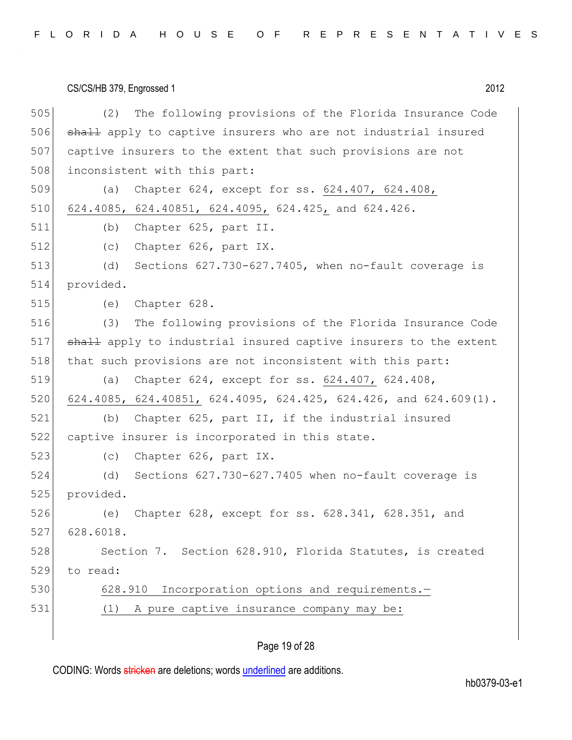505 (2) The following provisions of the Florida Insurance Code 506 shall apply to captive insurers who are not industrial insured 507 captive insurers to the extent that such provisions are not 508 inconsistent with this part: 509 (a) Chapter 624, except for ss. 624.407, 624.408, 510 624.4085, 624.40851, 624.4095, 624.425, and 624.426. 511 (b) Chapter 625, part II. 512 (c) Chapter 626, part IX. 513 (d) Sections 627.730-627.7405, when no-fault coverage is 514 provided. 515 (e) Chapter 628. 516 (3) The following provisions of the Florida Insurance Code 517 shall apply to industrial insured captive insurers to the extent 518 | that such provisions are not inconsistent with this part: 519 (a) Chapter 624, except for ss. 624.407, 624.408, 520 624.4085, 624.40851, 624.4095, 624.425, 624.426, and 624.609(1). 521 (b) Chapter 625, part II, if the industrial insured 522 captive insurer is incorporated in this state. 523 (c) Chapter 626, part IX. 524 (d) Sections 627.730-627.7405 when no-fault coverage is 525 provided. 526 (e) Chapter 628, except for ss. 628.341, 628.351, and 527 628.6018. 528 Section 7. Section 628.910, Florida Statutes, is created 529 to read: 530 628.910 Incorporation options and requirements. 531 (1) A pure captive insurance company may be:

#### Page 19 of 28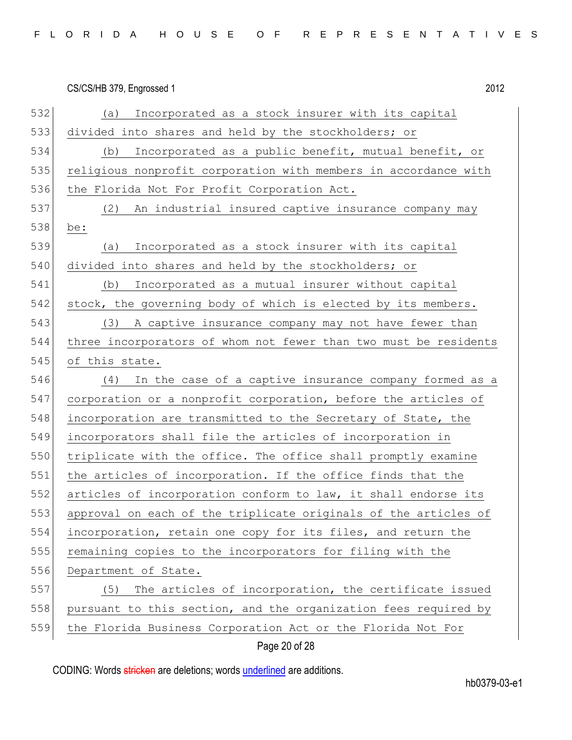|  |  |  |  |  |  |  |  |  |  |  |  |  | FLORIDA HOUSE OF REPRESENTATIVES |  |  |  |  |  |  |  |  |  |  |  |  |  |  |  |  |
|--|--|--|--|--|--|--|--|--|--|--|--|--|----------------------------------|--|--|--|--|--|--|--|--|--|--|--|--|--|--|--|--|
|--|--|--|--|--|--|--|--|--|--|--|--|--|----------------------------------|--|--|--|--|--|--|--|--|--|--|--|--|--|--|--|--|

|     | 2012<br>CS/CS/HB 379, Engrossed 1                                |
|-----|------------------------------------------------------------------|
| 532 | Incorporated as a stock insurer with its capital<br>(a)          |
| 533 | divided into shares and held by the stockholders; or             |
| 534 | Incorporated as a public benefit, mutual benefit, or<br>(b)      |
| 535 | religious nonprofit corporation with members in accordance with  |
| 536 | the Florida Not For Profit Corporation Act.                      |
| 537 | (2)<br>An industrial insured captive insurance company may       |
| 538 | be:                                                              |
| 539 | Incorporated as a stock insurer with its capital<br>(a)          |
| 540 | divided into shares and held by the stockholders; or             |
| 541 | Incorporated as a mutual insurer without capital<br>(b)          |
| 542 | stock, the governing body of which is elected by its members.    |
| 543 | (3)<br>A captive insurance company may not have fewer than       |
| 544 | three incorporators of whom not fewer than two must be residents |
| 545 | of this state.                                                   |
| 546 | (4)<br>In the case of a captive insurance company formed as a    |
| 547 | corporation or a nonprofit corporation, before the articles of   |
| 548 | incorporation are transmitted to the Secretary of State, the     |
| 549 | incorporators shall file the articles of incorporation in        |
| 550 | triplicate with the office. The office shall promptly examine    |
| 551 | the articles of incorporation. If the office finds that the      |
| 552 | articles of incorporation conform to law, it shall endorse its   |
| 553 | approval on each of the triplicate originals of the articles of  |
| 554 | incorporation, retain one copy for its files, and return the     |
| 555 | remaining copies to the incorporators for filing with the        |
| 556 | Department of State.                                             |
| 557 | The articles of incorporation, the certificate issued<br>(5)     |
| 558 | pursuant to this section, and the organization fees required by  |

559 the Florida Business Corporation Act or the Florida Not For

Page 20 of 28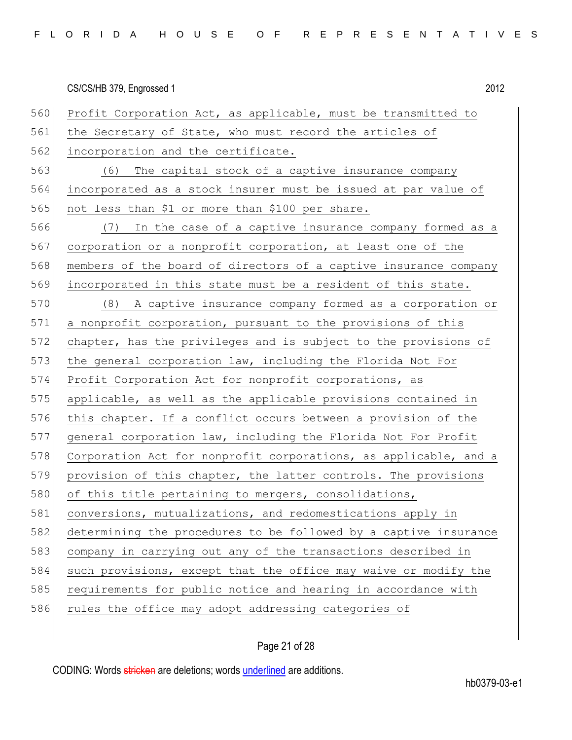560 Profit Corporation Act, as applicable, must be transmitted to 561 the Secretary of State, who must record the articles of 562 incorporation and the certificate. 563 (6) The capital stock of a captive insurance company 564 incorporated as a stock insurer must be issued at par value of 565 not less than \$1 or more than \$100 per share. 566 (7) In the case of a captive insurance company formed as a 567 corporation or a nonprofit corporation, at least one of the 568 members of the board of directors of a captive insurance company 569 incorporated in this state must be a resident of this state. 570 (8) A captive insurance company formed as a corporation or 571 a nonprofit corporation, pursuant to the provisions of this 572 chapter, has the privileges and is subject to the provisions of 573 the general corporation law, including the Florida Not For 574 Profit Corporation Act for nonprofit corporations, as 575 applicable, as well as the applicable provisions contained in 576 this chapter. If a conflict occurs between a provision of the 577 general corporation law, including the Florida Not For Profit 578 Corporation Act for nonprofit corporations, as applicable, and a 579 provision of this chapter, the latter controls. The provisions 580 of this title pertaining to mergers, consolidations, 581 conversions, mutualizations, and redomestications apply in 582 determining the procedures to be followed by a captive insurance 583 company in carrying out any of the transactions described in 584 such provisions, except that the office may waive or modify the 585 requirements for public notice and hearing in accordance with 586 rules the office may adopt addressing categories of

#### Page 21 of 28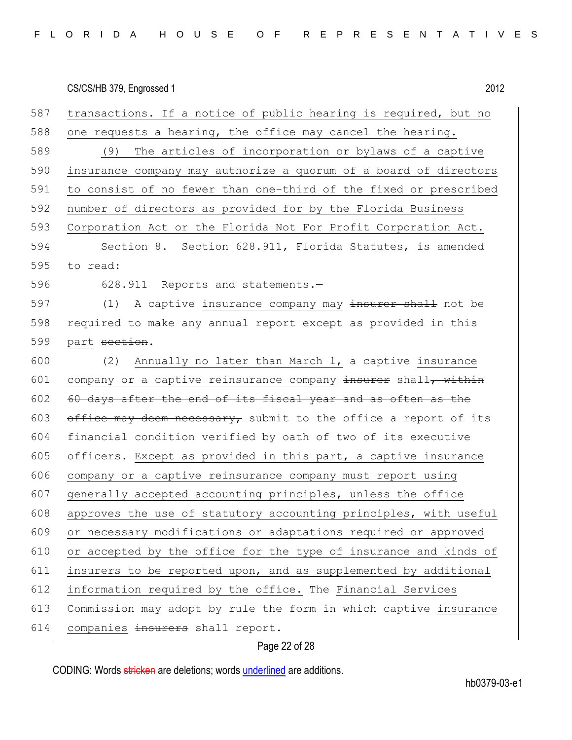| 587 | transactions. If a notice of public hearing is required, but no  |
|-----|------------------------------------------------------------------|
| 588 | one requests a hearing, the office may cancel the hearing.       |
| 589 | (9) The articles of incorporation or bylaws of a captive         |
| 590 | insurance company may authorize a quorum of a board of directors |
| 591 | to consist of no fewer than one-third of the fixed or prescribed |
| 592 | number of directors as provided for by the Florida Business      |
| 593 | Corporation Act or the Florida Not For Profit Corporation Act.   |
| 594 | Section 8. Section 628.911, Florida Statutes, is amended         |
| 595 | to read:                                                         |
| 596 | 628.911 Reports and statements.-                                 |
| 597 | (1)<br>A captive insurance company may insurer shall not be      |
| 598 | required to make any annual report except as provided in this    |
| 599 | part section.                                                    |
| 600 | Annually no later than March 1, a captive insurance<br>(2)       |
| 601 | company or a captive reinsurance company insurer shall, within   |
| 602 | 60 days after the end of its fiscal year and as often as the     |
| 603 | office may deem necessary, submit to the office a report of its  |
| 604 | financial condition verified by oath of two of its executive     |
| 605 | officers. Except as provided in this part, a captive insurance   |
| 606 | company or a captive reinsurance company must report using       |
| 607 | generally accepted accounting principles, unless the office      |
| 608 | approves the use of statutory accounting principles, with useful |
| 609 | or necessary modifications or adaptations required or approved   |
| 610 | or accepted by the office for the type of insurance and kinds of |
| 611 | insurers to be reported upon, and as supplemented by additional  |
| 612 | information required by the office. The Financial Services       |
| 613 | Commission may adopt by rule the form in which captive insurance |
| 614 | companies insurers shall report.                                 |

# Page 22 of 28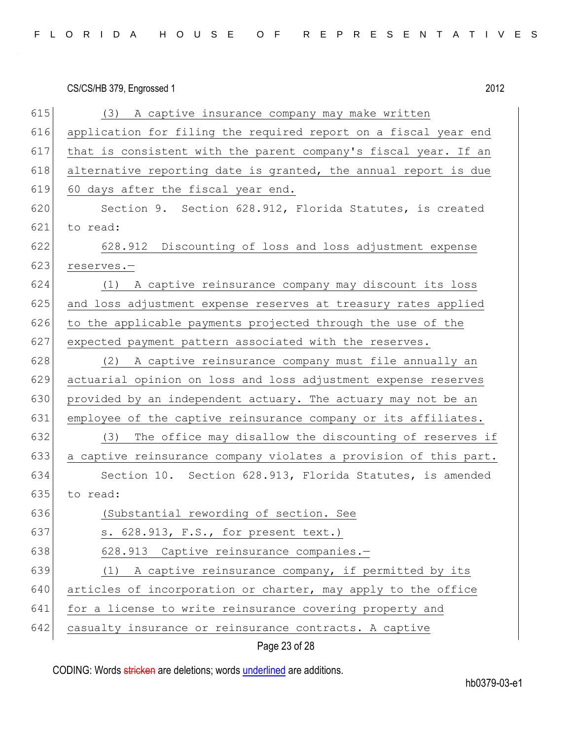| FLORIDA HOUSE OF REPRESENTATIVES |  |  |  |  |  |  |  |  |  |  |  |
|----------------------------------|--|--|--|--|--|--|--|--|--|--|--|
|----------------------------------|--|--|--|--|--|--|--|--|--|--|--|

|     | 2012<br>CS/CS/HB 379, Engrossed 1                                |
|-----|------------------------------------------------------------------|
| 615 | (3) A captive insurance company may make written                 |
| 616 | application for filing the required report on a fiscal year end  |
| 617 | that is consistent with the parent company's fiscal year. If an  |
| 618 | alternative reporting date is granted, the annual report is due  |
| 619 | 60 days after the fiscal year end.                               |
| 620 | Section 9. Section 628.912, Florida Statutes, is created         |
| 621 | to read:                                                         |
| 622 | 628.912 Discounting of loss and loss adjustment expense          |
| 623 | reserves.-                                                       |
| 624 | (1) A captive reinsurance company may discount its loss          |
| 625 | and loss adjustment expense reserves at treasury rates applied   |
| 626 | to the applicable payments projected through the use of the      |
| 627 | expected payment pattern associated with the reserves.           |
| 628 | (2) A captive reinsurance company must file annually an          |
| 629 | actuarial opinion on loss and loss adjustment expense reserves   |
| 630 | provided by an independent actuary. The actuary may not be an    |
| 631 | employee of the captive reinsurance company or its affiliates.   |
| 632 | The office may disallow the discounting of reserves if<br>(3)    |
| 633 | a captive reinsurance company violates a provision of this part. |
| 634 | Section 10. Section 628.913, Florida Statutes, is amended        |
| 635 | to read:                                                         |
| 636 | (Substantial rewording of section. See                           |
| 637 | s. 628.913, F.S., for present text.)                             |
| 638 | 628.913 Captive reinsurance companies.-                          |
| 639 | (1) A captive reinsurance company, if permitted by its           |
| 640 | articles of incorporation or charter, may apply to the office    |
| 641 | for a license to write reinsurance covering property and         |
| 642 | casualty insurance or reinsurance contracts. A captive           |
|     |                                                                  |

Page 23 of 28

CODING: Words stricken are deletions; words underlined are additions.

hb0379-03-e1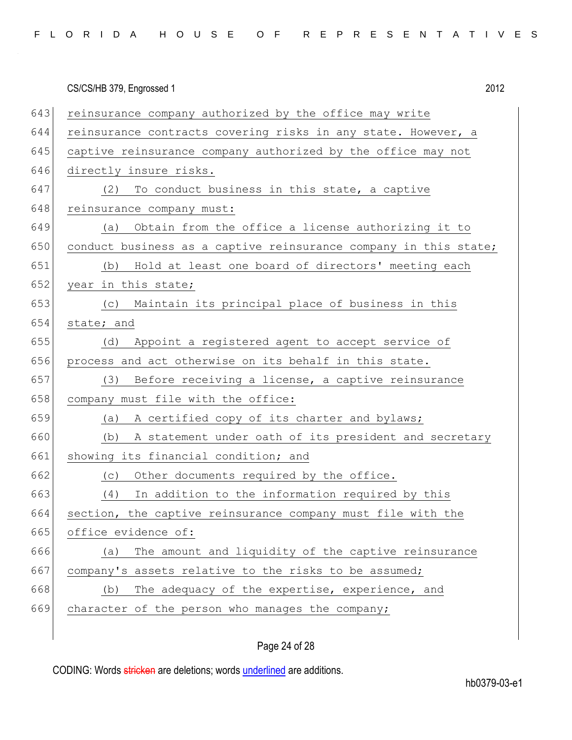|  |  |  |  |  |  |  |  |  |  |  |  |  | FLORIDA HOUSE OF REPRESENTATIVES |  |  |  |  |  |  |  |  |  |  |  |  |  |  |  |  |
|--|--|--|--|--|--|--|--|--|--|--|--|--|----------------------------------|--|--|--|--|--|--|--|--|--|--|--|--|--|--|--|--|
|--|--|--|--|--|--|--|--|--|--|--|--|--|----------------------------------|--|--|--|--|--|--|--|--|--|--|--|--|--|--|--|--|

|     | CS/CS/HB 379, Engrossed 1                                        | 2012 |
|-----|------------------------------------------------------------------|------|
| 643 | reinsurance company authorized by the office may write           |      |
| 644 | reinsurance contracts covering risks in any state. However, a    |      |
| 645 | captive reinsurance company authorized by the office may not     |      |
| 646 | directly insure risks.                                           |      |
| 647 | To conduct business in this state, a captive<br>(2)              |      |
| 648 | reinsurance company must:                                        |      |
| 649 | Obtain from the office a license authorizing it to<br>(a)        |      |
| 650 | conduct business as a captive reinsurance company in this state; |      |
| 651 | (b) Hold at least one board of directors' meeting each           |      |
| 652 | year in this state;                                              |      |
| 653 | (c) Maintain its principal place of business in this             |      |
| 654 | state; and                                                       |      |
| 655 | (d) Appoint a registered agent to accept service of              |      |
| 656 | process and act otherwise on its behalf in this state.           |      |
| 657 | Before receiving a license, a captive reinsurance<br>(3)         |      |
| 658 | company must file with the office:                               |      |
| 659 | A certified copy of its charter and bylaws;<br>(a)               |      |
| 660 | A statement under oath of its president and secretary<br>(b)     |      |
| 661 | showing its financial condition; and                             |      |
| 662 | Other documents required by the office.<br>(C)                   |      |
| 663 | In addition to the information required by this<br>(4)           |      |
| 664 | section, the captive reinsurance company must file with the      |      |
| 665 | office evidence of:                                              |      |
| 666 | The amount and liquidity of the captive reinsurance<br>(a)       |      |
| 667 | company's assets relative to the risks to be assumed;            |      |
| 668 | The adequacy of the expertise, experience, and<br>(b)            |      |
| 669 | character of the person who manages the company;                 |      |
|     |                                                                  |      |

# Page 24 of 28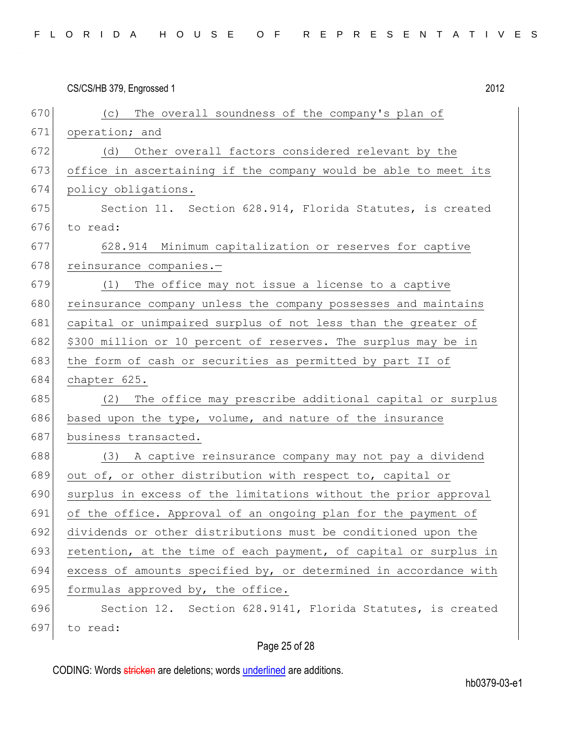| FLORIDA HOUSE OF REPRESENTATIVES |  |  |  |  |  |  |  |  |  |  |  |
|----------------------------------|--|--|--|--|--|--|--|--|--|--|--|
|----------------------------------|--|--|--|--|--|--|--|--|--|--|--|

|     | 2012<br>CS/CS/HB 379, Engrossed 1                                |
|-----|------------------------------------------------------------------|
| 670 | (c) The overall soundness of the company's plan of               |
| 671 | operation; and                                                   |
| 672 | Other overall factors considered relevant by the<br>(d)          |
| 673 | office in ascertaining if the company would be able to meet its  |
| 674 | policy obligations.                                              |
| 675 | Section 11. Section 628.914, Florida Statutes, is created        |
| 676 | to read:                                                         |
| 677 | 628.914 Minimum capitalization or reserves for captive           |
| 678 | reinsurance companies.-                                          |
| 679 | The office may not issue a license to a captive<br>(1)           |
| 680 | reinsurance company unless the company possesses and maintains   |
| 681 | capital or unimpaired surplus of not less than the greater of    |
| 682 | \$300 million or 10 percent of reserves. The surplus may be in   |
| 683 | the form of cash or securities as permitted by part II of        |
| 684 | chapter 625.                                                     |
| 685 | (2) The office may prescribe additional capital or surplus       |
| 686 | based upon the type, volume, and nature of the insurance         |
| 687 | business transacted.                                             |
| 688 | (3) A captive reinsurance company may not pay a dividend         |
| 689 | out of, or other distribution with respect to, capital or        |
| 690 | surplus in excess of the limitations without the prior approval  |
| 691 | of the office. Approval of an ongoing plan for the payment of    |
| 692 | dividends or other distributions must be conditioned upon the    |
| 693 | retention, at the time of each payment, of capital or surplus in |
| 694 | excess of amounts specified by, or determined in accordance with |
| 695 | formulas approved by, the office.                                |
| 696 | Section 12. Section 628.9141, Florida Statutes, is created       |
| 697 | to read:                                                         |
|     |                                                                  |

# Page 25 of 28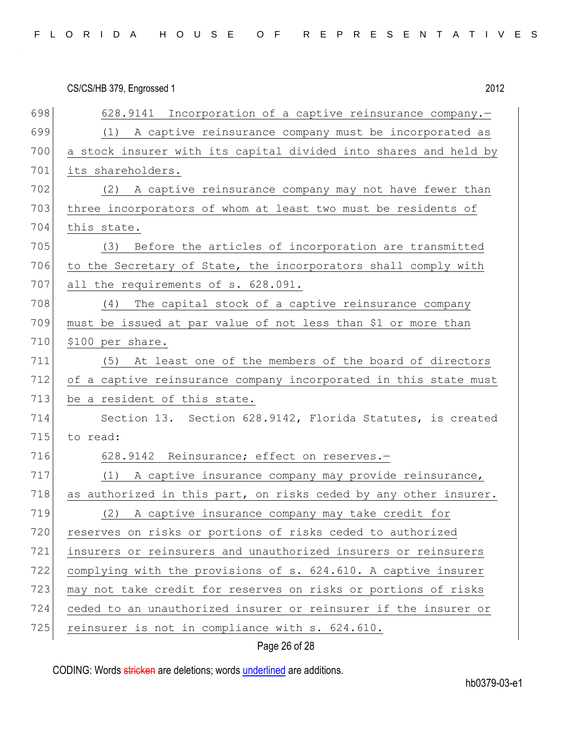| FLORIDA HOUSE OF REPRESENTATIVES |  |
|----------------------------------|--|
|----------------------------------|--|

|     | 2012<br>CS/CS/HB 379, Engrossed 1                                |
|-----|------------------------------------------------------------------|
| 698 | 628.9141 Incorporation of a captive reinsurance company.-        |
| 699 | (1) A captive reinsurance company must be incorporated as        |
| 700 | a stock insurer with its capital divided into shares and held by |
| 701 | its shareholders.                                                |
| 702 | (2) A captive reinsurance company may not have fewer than        |
| 703 | three incorporators of whom at least two must be residents of    |
| 704 | this state.                                                      |
| 705 | (3) Before the articles of incorporation are transmitted         |
| 706 | to the Secretary of State, the incorporators shall comply with   |
| 707 | all the requirements of s. 628.091.                              |
| 708 | (4)<br>The capital stock of a captive reinsurance company        |
| 709 | must be issued at par value of not less than \$1 or more than    |
| 710 | \$100 per share.                                                 |
| 711 | (5) At least one of the members of the board of directors        |
| 712 | of a captive reinsurance company incorporated in this state must |
| 713 | be a resident of this state.                                     |
| 714 | Section 13. Section 628.9142, Florida Statutes, is created       |
| 715 | to read:                                                         |
| 716 | 628.9142 Reinsurance; effect on reserves.-                       |
| 717 | A captive insurance company may provide reinsurance,<br>(1)      |
| 718 | as authorized in this part, on risks ceded by any other insurer. |
| 719 | A captive insurance company may take credit for<br>(2)           |
| 720 | reserves on risks or portions of risks ceded to authorized       |
| 721 | insurers or reinsurers and unauthorized insurers or reinsurers   |
| 722 | complying with the provisions of s. 624.610. A captive insurer   |
| 723 | may not take credit for reserves on risks or portions of risks   |
| 724 | ceded to an unauthorized insurer or reinsurer if the insurer or  |
| 725 | reinsurer is not in compliance with s. 624.610.                  |
|     | Page 26 of 28                                                    |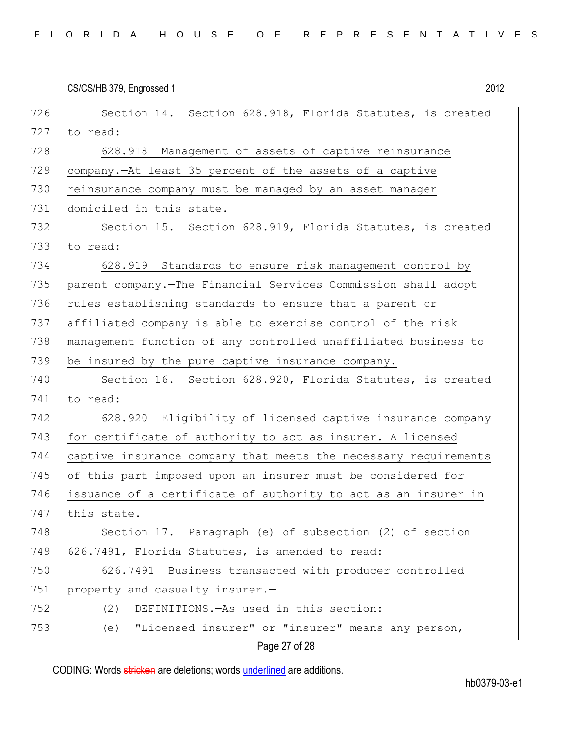|     | CS/CS/HB 379, Engrossed 1<br>2012                               |
|-----|-----------------------------------------------------------------|
| 726 | Section 14. Section 628.918, Florida Statutes, is created       |
| 727 | to read:                                                        |
| 728 | 628.918 Management of assets of captive reinsurance             |
| 729 | company. At least 35 percent of the assets of a captive         |
| 730 | reinsurance company must be managed by an asset manager         |
| 731 | domiciled in this state.                                        |
| 732 | Section 15. Section 628.919, Florida Statutes, is created       |
| 733 | to read:                                                        |
| 734 | 628.919 Standards to ensure risk management control by          |
| 735 | parent company. The Financial Services Commission shall adopt   |
| 736 | rules establishing standards to ensure that a parent or         |
| 737 | affiliated company is able to exercise control of the risk      |
| 738 | management function of any controlled unaffiliated business to  |
| 739 | be insured by the pure captive insurance company.               |
| 740 | Section 16. Section 628.920, Florida Statutes, is created       |
| 741 | to read:                                                        |
| 742 | 628.920 Eligibility of licensed captive insurance company       |
| 743 | for certificate of authority to act as insurer. - A licensed    |
| 744 | captive insurance company that meets the necessary requirements |
| 745 | of this part imposed upon an insurer must be considered for     |
| 746 | issuance of a certificate of authority to act as an insurer in  |
| 747 | this state.                                                     |
| 748 | Section 17. Paragraph (e) of subsection (2) of section          |
| 749 | 626.7491, Florida Statutes, is amended to read:                 |
| 750 | 626.7491 Business transacted with producer controlled           |
| 751 | property and casualty insurer.-                                 |
| 752 | DEFINITIONS. - As used in this section:<br>(2)                  |
| 753 | "Licensed insurer" or "insurer" means any person,<br>(e)        |
|     | Page 27 of 28                                                   |

CODING: Words stricken are deletions; words underlined are additions.

hb0379-03-e1